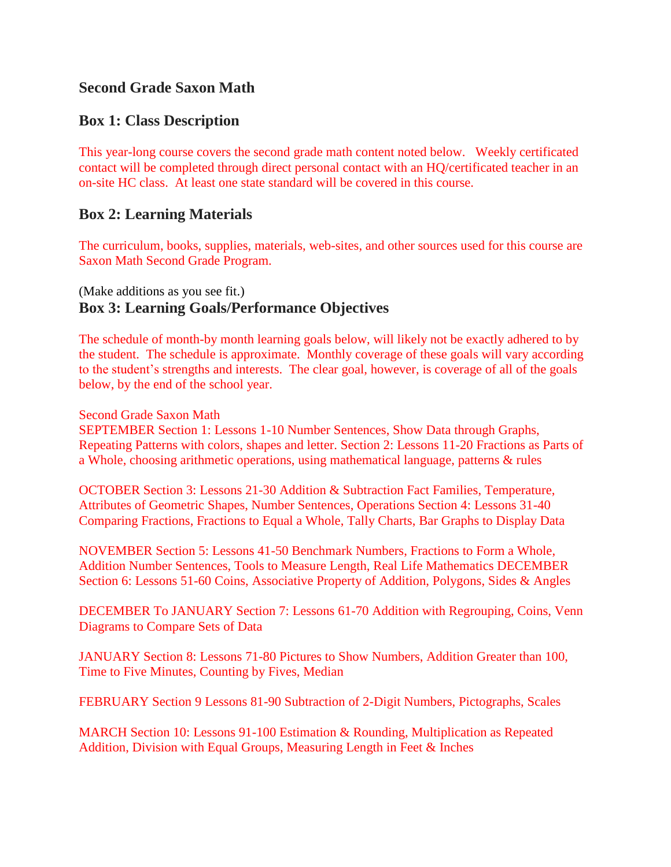# **Second Grade Saxon Math**

## **Box 1: Class Description**

This year-long course covers the second grade math content noted below. Weekly certificated contact will be completed through direct personal contact with an HQ/certificated teacher in an on-site HC class. At least one state standard will be covered in this course.

### **Box 2: Learning Materials**

The curriculum, books, supplies, materials, web-sites, and other sources used for this course are Saxon Math Second Grade Program.

# (Make additions as you see fit.) **Box 3: Learning Goals/Performance Objectives**

The schedule of month-by month learning goals below, will likely not be exactly adhered to by the student. The schedule is approximate. Monthly coverage of these goals will vary according to the student's strengths and interests. The clear goal, however, is coverage of all of the goals below, by the end of the school year.

#### Second Grade Saxon Math

SEPTEMBER Section 1: Lessons 1-10 Number Sentences, Show Data through Graphs, Repeating Patterns with colors, shapes and letter. Section 2: Lessons 11-20 Fractions as Parts of a Whole, choosing arithmetic operations, using mathematical language, patterns & rules

OCTOBER Section 3: Lessons 21-30 Addition & Subtraction Fact Families, Temperature, Attributes of Geometric Shapes, Number Sentences, Operations Section 4: Lessons 31-40 Comparing Fractions, Fractions to Equal a Whole, Tally Charts, Bar Graphs to Display Data

NOVEMBER Section 5: Lessons 41-50 Benchmark Numbers, Fractions to Form a Whole, Addition Number Sentences, Tools to Measure Length, Real Life Mathematics DECEMBER Section 6: Lessons 51-60 Coins, Associative Property of Addition, Polygons, Sides & Angles

DECEMBER To JANUARY Section 7: Lessons 61-70 Addition with Regrouping, Coins, Venn Diagrams to Compare Sets of Data

JANUARY Section 8: Lessons 71-80 Pictures to Show Numbers, Addition Greater than 100, Time to Five Minutes, Counting by Fives, Median

FEBRUARY Section 9 Lessons 81-90 Subtraction of 2-Digit Numbers, Pictographs, Scales

MARCH Section 10: Lessons 91-100 Estimation & Rounding, Multiplication as Repeated Addition, Division with Equal Groups, Measuring Length in Feet & Inches